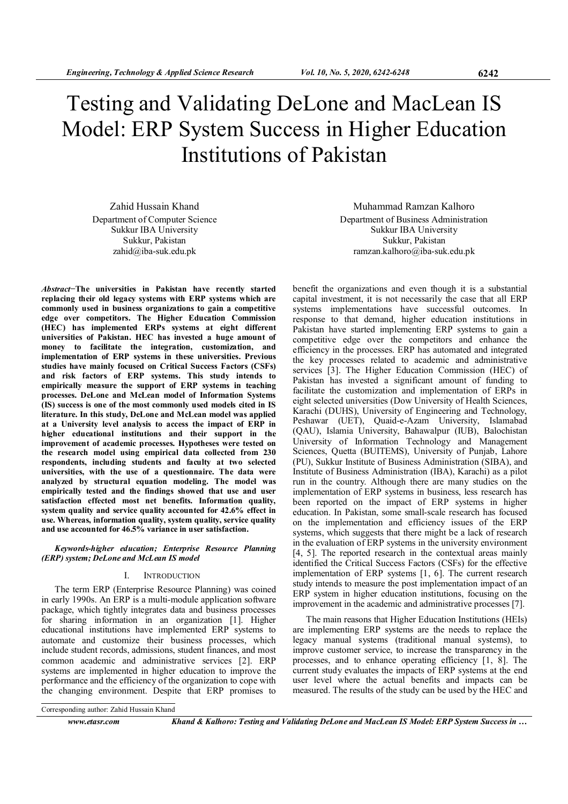# Testing and Validating DeLone and MacLean IS Model: ERP System Success in Higher Education Institutions of Pakistan

Zahid Hussain Khand Department of Computer Science Sukkur IBA University Sukkur, Pakistan zahid@iba-suk.edu.pk

Abstract−The universities in Pakistan have recently started replacing their old legacy systems with ERP systems which are commonly used in business organizations to gain a competitive edge over competitors. The Higher Education Commission (HEC) has implemented ERPs systems at eight different universities of Pakistan. HEC has invested a huge amount of money to facilitate the integration, customization, and implementation of ERP systems in these universities. Previous studies have mainly focused on Critical Success Factors (CSFs) and risk factors of ERP systems. This study intends to empirically measure the support of ERP systems in teaching processes. DeLone and McLean model of Information Systems (IS) success is one of the most commonly used models cited in IS literature. In this study, DeLone and McLean model was applied at a University level analysis to access the impact of ERP in higher educational institutions and their support in the improvement of academic processes. Hypotheses were tested on the research model using empirical data collected from 230 respondents, including students and faculty at two selected universities, with the use of a questionnaire. The data were analyzed by structural equation modeling. The model was empirically tested and the findings showed that use and user satisfaction effected most net benefits. Information quality, system quality and service quality accounted for 42.6% effect in use. Whereas, information quality, system quality, service quality and use accounted for 46.5% variance in user satisfaction.

## Keywords-higher education; Enterprise Resource Planning (ERP) system; DeLone and McLean IS model

## I. INTRODUCTION

The term ERP (Enterprise Resource Planning) was coined in early 1990s. An ERP is a multi-module application software package, which tightly integrates data and business processes for sharing information in an organization [1]. Higher educational institutions have implemented ERP systems to automate and customize their business processes, which include student records, admissions, student finances, and most common academic and administrative services [2]. ERP systems are implemented in higher education to improve the performance and the efficiency of the organization to cope with the changing environment. Despite that ERP promises to

Muhammad Ramzan Kalhoro Department of Business Administration Sukkur IBA University Sukkur, Pakistan ramzan.kalhoro@iba-suk.edu.pk

benefit the organizations and even though it is a substantial capital investment, it is not necessarily the case that all ERP systems implementations have successful outcomes. In response to that demand, higher education institutions in Pakistan have started implementing ERP systems to gain a competitive edge over the competitors and enhance the efficiency in the processes. ERP has automated and integrated the key processes related to academic and administrative services [3]. The Higher Education Commission (HEC) of Pakistan has invested a significant amount of funding to facilitate the customization and implementation of ERPs in eight selected universities (Dow University of Health Sciences, Karachi (DUHS), University of Engineering and Technology, Peshawar (UET), Quaid-e-Azam University, Islamabad (QAU), Islamia University, Bahawalpur (IUB), Balochistan University of Information Technology and Management Sciences, Quetta (BUITEMS), University of Punjab, Lahore (PU), Sukkur Institute of Business Administration (SIBA), and Institute of Business Administration (IBA), Karachi) as a pilot run in the country. Although there are many studies on the implementation of ERP systems in business, less research has been reported on the impact of ERP systems in higher education. In Pakistan, some small-scale research has focused on the implementation and efficiency issues of the ERP systems, which suggests that there might be a lack of research in the evaluation of ERP systems in the university environment [4, 5]. The reported research in the contextual areas mainly identified the Critical Success Factors (CSFs) for the effective implementation of ERP systems [1, 6]. The current research study intends to measure the post implementation impact of an ERP system in higher education institutions, focusing on the improvement in the academic and administrative processes [7].

The main reasons that Higher Education Institutions (HEIs) are implementing ERP systems are the needs to replace the legacy manual systems (traditional manual systems), to improve customer service, to increase the transparency in the processes, and to enhance operating efficiency [1, 8]. The current study evaluates the impacts of ERP systems at the end user level where the actual benefits and impacts can be measured. The results of the study can be used by the HEC and

Corresponding author: Zahid Hussain Khand

www.etasr.com Khand & Kalhoro: Testing and Validating DeLone and MacLean IS Model: ERP System Success in …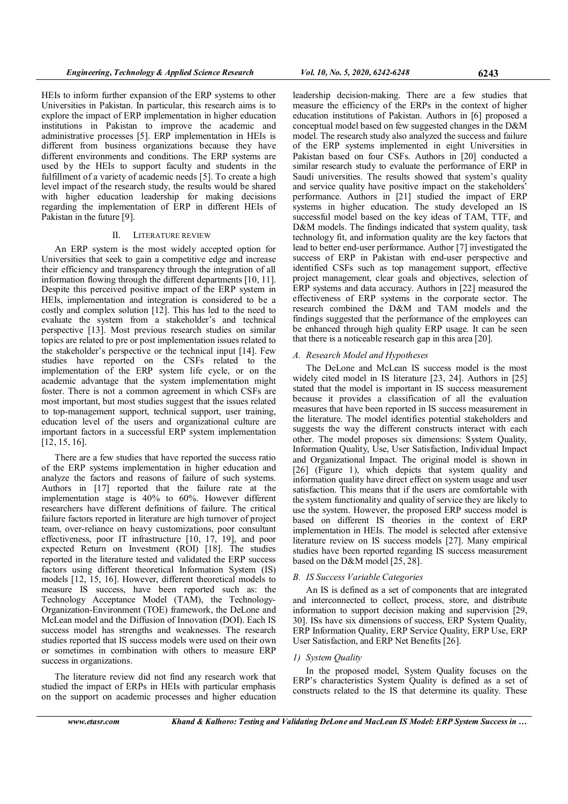HEIs to inform further expansion of the ERP systems to other Universities in Pakistan. In particular, this research aims is to explore the impact of ERP implementation in higher education institutions in Pakistan to improve the academic and administrative processes [5]. ERP implementation in HEIs is different from business organizations because they have different environments and conditions. The ERP systems are used by the HEIs to support faculty and students in the fulfillment of a variety of academic needs [5]. To create a high level impact of the research study, the results would be shared with higher education leadership for making decisions regarding the implementation of ERP in different HEIs of Pakistan in the future [9].

# II. LITERATURE REVIEW

An ERP system is the most widely accepted option for Universities that seek to gain a competitive edge and increase their efficiency and transparency through the integration of all information flowing through the different departments [10, 11]. Despite this perceived positive impact of the ERP system in HEIs, implementation and integration is considered to be a costly and complex solution [12]. This has led to the need to evaluate the system from a stakeholder's and technical perspective [13]. Most previous research studies on similar topics are related to pre or post implementation issues related to the stakeholder's perspective or the technical input [14]. Few studies have reported on the CSFs related to the implementation of the ERP system life cycle, or on the academic advantage that the system implementation might foster. There is not a common agreement in which CSFs are most important, but most studies suggest that the issues related to top-management support, technical support, user training, education level of the users and organizational culture are important factors in a successful ERP system implementation [12, 15, 16].

There are a few studies that have reported the success ratio of the ERP systems implementation in higher education and analyze the factors and reasons of failure of such systems. Authors in [17] reported that the failure rate at the implementation stage is 40% to 60%. However different researchers have different definitions of failure. The critical failure factors reported in literature are high turnover of project team, over-reliance on heavy customizations, poor consultant effectiveness, poor IT infrastructure [10, 17, 19], and poor expected Return on Investment (ROI) [18]. The studies reported in the literature tested and validated the ERP success factors using different theoretical Information System (IS) models [12, 15, 16]. However, different theoretical models to measure IS success, have been reported such as: the Technology Acceptance Model (TAM), the Technology-Organization-Environment (TOE) framework, the DeLone and McLean model and the Diffusion of Innovation (DOI). Each IS success model has strengths and weaknesses. The research studies reported that IS success models were used on their own or sometimes in combination with others to measure ERP success in organizations.

The literature review did not find any research work that studied the impact of ERPs in HEIs with particular emphasis on the support on academic processes and higher education

leadership decision-making. There are a few studies that measure the efficiency of the ERPs in the context of higher education institutions of Pakistan. Authors in [6] proposed a conceptual model based on few suggested changes in the D&M model. The research study also analyzed the success and failure of the ERP systems implemented in eight Universities in Pakistan based on four CSFs. Authors in [20] conducted a similar research study to evaluate the performance of ERP in Saudi universities. The results showed that system's quality and service quality have positive impact on the stakeholders' performance. Authors in [21] studied the impact of ERP systems in higher education. The study developed an IS successful model based on the key ideas of TAM, TTF, and D&M models. The findings indicated that system quality, task technology fit, and information quality are the key factors that lead to better end-user performance. Author [7] investigated the success of ERP in Pakistan with end-user perspective and identified CSFs such as top management support, effective project management, clear goals and objectives, selection of ERP systems and data accuracy. Authors in [22] measured the effectiveness of ERP systems in the corporate sector. The research combined the D&M and TAM models and the findings suggested that the performance of the employees can be enhanced through high quality ERP usage. It can be seen that there is a noticeable research gap in this area [20].

# A. Research Model and Hypotheses

The DeLone and McLean IS success model is the most widely cited model in IS literature [23, 24]. Authors in [25] stated that the model is important in IS success measurement because it provides a classification of all the evaluation measures that have been reported in IS success measurement in the literature. The model identifies potential stakeholders and suggests the way the different constructs interact with each other. The model proposes six dimensions: System Quality, Information Quality, Use, User Satisfaction, Individual Impact and Organizational Impact. The original model is shown in [26] (Figure 1), which depicts that system quality and information quality have direct effect on system usage and user satisfaction. This means that if the users are comfortable with the system functionality and quality of service they are likely to use the system. However, the proposed ERP success model is based on different IS theories in the context of ERP implementation in HEIs. The model is selected after extensive literature review on IS success models [27]. Many empirical studies have been reported regarding IS success measurement based on the D&M model [25, 28].

## B. IS Success Variable Categories

An IS is defined as a set of components that are integrated and interconnected to collect, process, store, and distribute information to support decision making and supervision [29, 30]. ISs have six dimensions of success, ERP System Quality, ERP Information Quality, ERP Service Quality, ERP Use, ERP User Satisfaction, and ERP Net Benefits [26].

## 1) System Quality

In the proposed model, System Quality focuses on the ERP's characteristics System Quality is defined as a set of constructs related to the IS that determine its quality. These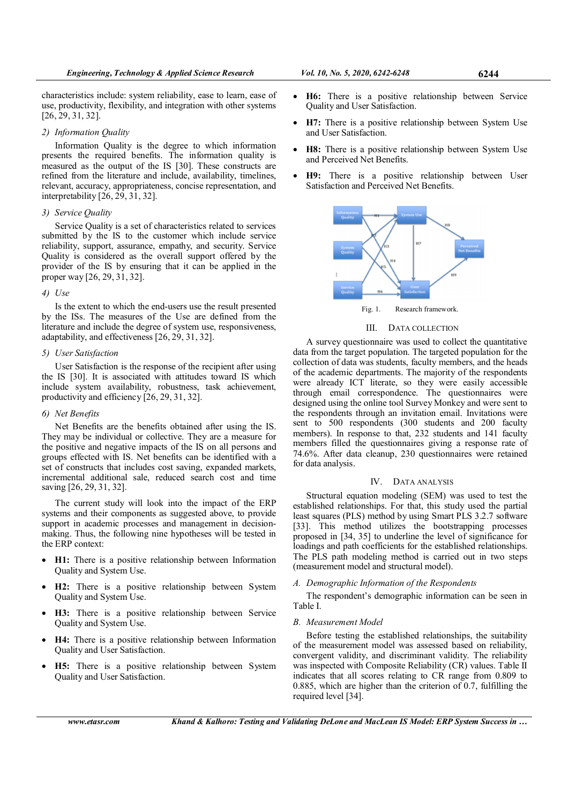characteristics include: system reliability, ease to learn, ease of use, productivity, flexibility, and integration with other systems [26, 29, 31, 32].

# 2) Information Quality

Information Quality is the degree to which information presents the required benefits. The information quality is measured as the output of the IS [30]. These constructs are refined from the literature and include, availability, timelines, relevant, accuracy, appropriateness, concise representation, and interpretability [26, 29, 31, 32].

## 3) Service Quality

Service Quality is a set of characteristics related to services submitted by the IS to the customer which include service reliability, support, assurance, empathy, and security. Service Quality is considered as the overall support offered by the provider of the IS by ensuring that it can be applied in the proper way [26, 29, 31, 32].

# 4) Use

Is the extent to which the end-users use the result presented by the ISs. The measures of the Use are defined from the literature and include the degree of system use, responsiveness, adaptability, and effectiveness [26, 29, 31, 32].

# 5) User Satisfaction

User Satisfaction is the response of the recipient after using the IS [30]. It is associated with attitudes toward IS which include system availability, robustness, task achievement, productivity and efficiency [26, 29, 31, 32].

# 6) Net Benefits

Net Benefits are the benefits obtained after using the IS. They may be individual or collective. They are a measure for the positive and negative impacts of the IS on all persons and groups effected with IS. Net benefits can be identified with a set of constructs that includes cost saving, expanded markets, incremental additional sale, reduced search cost and time saving [26, 29, 31, 32].

The current study will look into the impact of the ERP systems and their components as suggested above, to provide support in academic processes and management in decisionmaking. Thus, the following nine hypotheses will be tested in the ERP context:

- H1: There is a positive relationship between Information Quality and System Use.
- H2: There is a positive relationship between System Quality and System Use.
- H3: There is a positive relationship between Service Quality and System Use.
- H4: There is a positive relationship between Information Quality and User Satisfaction.
- H5: There is a positive relationship between System Quality and User Satisfaction.
- H6: There is a positive relationship between Service Quality and User Satisfaction.
- H7: There is a positive relationship between System Use and User Satisfaction.
- H8: There is a positive relationship between System Use and Perceived Net Benefits.
- H9: There is a positive relationship between User Satisfaction and Perceived Net Benefits.



Fig. 1. Research framework.

# III. DATA COLLECTION

A survey questionnaire was used to collect the quantitative data from the target population. The targeted population for the collection of data was students, faculty members, and the heads of the academic departments. The majority of the respondents were already ICT literate, so they were easily accessible through email correspondence. The questionnaires were designed using the online tool Survey Monkey and were sent to the respondents through an invitation email. Invitations were sent to 500 respondents (300 students and 200 faculty members). In response to that, 232 students and 141 faculty members filled the questionnaires giving a response rate of 74.6%. After data cleanup, 230 questionnaires were retained for data analysis.

## IV. DATA ANALYSIS

Structural equation modeling (SEM) was used to test the established relationships. For that, this study used the partial least squares (PLS) method by using Smart PLS 3.2.7 software [33]. This method utilizes the bootstrapping processes proposed in [34, 35] to underline the level of significance for loadings and path coefficients for the established relationships. The PLS path modeling method is carried out in two steps (measurement model and structural model).

# A. Demographic Information of the Respondents

The respondent's demographic information can be seen in Table I.

# B. Measurement Model

Before testing the established relationships, the suitability of the measurement model was assessed based on reliability, convergent validity, and discriminant validity. The reliability was inspected with Composite Reliability (CR) values. Table II indicates that all scores relating to CR range from 0.809 to 0.885, which are higher than the criterion of 0.7, fulfilling the required level [34].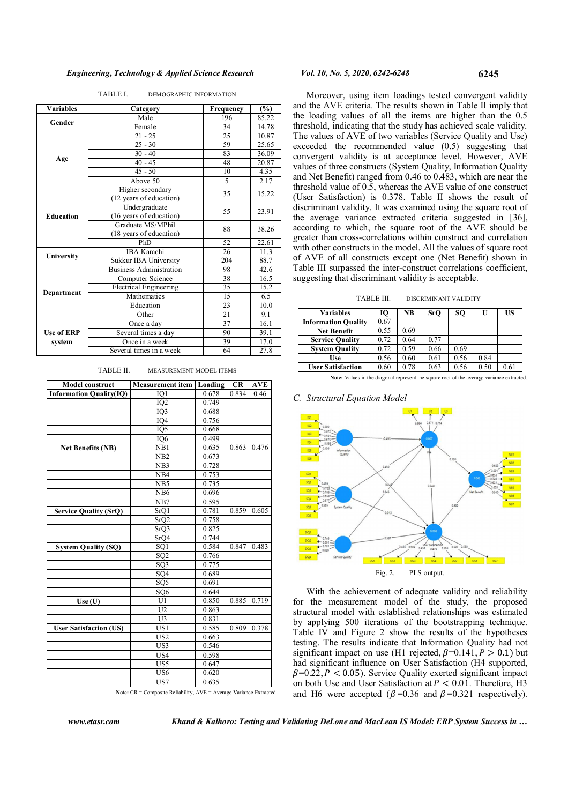#### TABLE I. DEMOGRAPHIC INFORMATION

| <b>Variables</b><br>Category |                                              | Frequency | (%)   |
|------------------------------|----------------------------------------------|-----------|-------|
|                              | Male<br>Gender<br>Female                     |           | 85.22 |
|                              | 34                                           | 14.78     |       |
| $21 - 25$                    |                                              | 25        | 10.87 |
|                              | $25 - 30$                                    | 59        | 25.65 |
|                              | $30 - 40$                                    | 83        | 36.09 |
| Age                          | $40 - 45$                                    | 48        | 20.87 |
|                              | $45 - 50$                                    | 10        | 4.35  |
|                              | Above 50                                     | 5         | 2.17  |
|                              | Higher secondary<br>(12 years of education)  | 35        | 15.22 |
| <b>Education</b>             | Undergraduate<br>(16 years of education)     | 55        | 23.91 |
|                              | Graduate MS/MPhil<br>(18 years of education) | 88        | 38.26 |
|                              | PhD                                          | 52        | 22.61 |
|                              | IBA Karachi                                  | 26        | 11.3  |
| University                   | Sukkur IBA University                        | 204       | 88.7  |
|                              | <b>Business Administration</b>               | 98        | 42.6  |
|                              | Computer Science                             | 38        | 16.5  |
|                              | <b>Electrical Engineering</b>                | 35        | 15.2  |
| Department                   | Mathematics                                  | 15        | 6.5   |
|                              | Education                                    | 23        | 10.0  |
|                              | Other                                        | 21        | 9.1   |
|                              | Once a day                                   | 37        | 16.1  |
| <b>Use of ERP</b>            | Several times a day                          | 90        | 39.1  |
| system                       | Once in a week                               | 39        | 17.0  |
|                              | Several times in a week                      | 64        | 27.8  |

TABLE II. MEASUREMENT MODEL ITEMS

| <b>Model construct</b>         | <b>Measurement item Loading</b> |       | <b>CR</b> | AVE   |
|--------------------------------|---------------------------------|-------|-----------|-------|
| <b>Information Quality(IQ)</b> | IQ1                             | 0.678 | 0.834     | 0.46  |
|                                | IQ <sub>2</sub>                 | 0.749 |           |       |
|                                | IQ3                             | 0.688 |           |       |
|                                | IQ4                             | 0.756 |           |       |
|                                | IQ <sub>5</sub>                 | 0.668 |           |       |
|                                | IQ <sub>6</sub>                 | 0.499 |           |       |
| <b>Net Benefits (NB)</b>       | NB1                             | 0.635 | 0.863     | 0.476 |
|                                | N <sub>B2</sub>                 | 0.673 |           |       |
|                                | NB <sub>3</sub>                 | 0.728 |           |       |
|                                | NB <sub>4</sub>                 | 0.753 |           |       |
|                                | NB5                             | 0.735 |           |       |
|                                | N <sub>B6</sub>                 | 0.696 |           |       |
|                                | NB7                             | 0.595 |           |       |
| <b>Service Quality (SrQ)</b>   | SrQ1                            | 0.781 | 0.859     | 0.605 |
|                                | SrQ2                            | 0.758 |           |       |
|                                | SrQ3                            | 0.825 |           |       |
|                                | SrQ4                            | 0.744 |           |       |
| <b>System Quality (SQ)</b>     | SQ <sub>1</sub>                 | 0.584 | 0.847     | 0.483 |
|                                | SQ <sub>2</sub>                 | 0.766 |           |       |
|                                | SQ3                             | 0.775 |           |       |
|                                | SQ4                             | 0.689 |           |       |
|                                | SQ <sub>5</sub>                 | 0.691 |           |       |
|                                | SQ <sub>6</sub>                 | 0.644 |           |       |
| Use(U)                         | U1                              | 0.850 | 0.885     | 0.719 |
|                                | U <sub>2</sub>                  | 0.863 |           |       |
|                                | U <sub>3</sub>                  | 0.831 |           |       |
| <b>User Satisfaction (US)</b>  | US1                             | 0.585 | 0.809     | 0.378 |
|                                | US <sub>2</sub>                 | 0.663 |           |       |
|                                | US3                             | 0.546 |           |       |
|                                | US4                             | 0.598 |           |       |
|                                | US5                             | 0.647 |           |       |
|                                | US <sub>6</sub>                 | 0.620 |           |       |
|                                | US7                             | 0.635 |           |       |

Note: CR = Composite Reliability, AVE = Average Variance Extracted

Moreover, using item loadings tested convergent validity and the AVE criteria. The results shown in Table II imply that the loading values of all the items are higher than the 0.5 threshold, indicating that the study has achieved scale validity. The values of AVE of two variables (Service Quality and Use) exceeded the recommended value (0.5) suggesting that convergent validity is at acceptance level. However, AVE values of three constructs (System Quality, Information Quality and Net Benefit) ranged from 0.46 to 0.483, which are near the threshold value of 0.5, whereas the AVE value of one construct (User Satisfaction) is 0.378. Table II shows the result of discriminant validity. It was examined using the square root of the average variance extracted criteria suggested in [36], according to which, the square root of the AVE should be greater than cross-correlations within construct and correlation with other constructs in the model. All the values of square root of AVE of all constructs except one (Net Benefit) shown in Table III surpassed the inter-construct correlations coefficient, suggesting that discriminant validity is acceptable.

TABLE III. DISCRIMINANT VALIDITY

| <b>Variables</b>           | Ю    | NB   | SrO  | SО   |      | US   |
|----------------------------|------|------|------|------|------|------|
| <b>Information Quality</b> | 0.67 |      |      |      |      |      |
| <b>Net Benefit</b>         | 0.55 | 0.69 |      |      |      |      |
| <b>Service Quality</b>     | 0.72 | 0.64 | 0.77 |      |      |      |
| <b>System Quality</b>      | 0.72 | 0.59 | 0.66 | 0.69 |      |      |
| Use                        | 0.56 | 0.60 | 0.61 | 0.56 | 0.84 |      |
| <b>User Satisfaction</b>   | 0.60 | 0.78 | 0.63 | 0.56 | 0.50 | 0.61 |

Note: Values in the diagonal represent the square root of the average variance extracted.

#### C. Structural Equation Model



With the achievement of adequate validity and reliability for the measurement model of the study, the proposed structural model with established relationships was estimated by applying 500 iterations of the bootstrapping technique. Table IV and Figure 2 show the results of the hypotheses testing. The results indicate that Information Quality had not significant impact on use (H1 rejected,  $\beta$ =0.141, P > 0.1) but had significant influence on User Satisfaction (H4 supported,  $\beta$ =0.22, P < 0.05). Service Quality exerted significant impact on both Use and User Satisfaction at  $P < 0.01$ . Therefore, H3 and H6 were accepted ( $\beta$ =0.36 and  $\beta$ =0.321 respectively).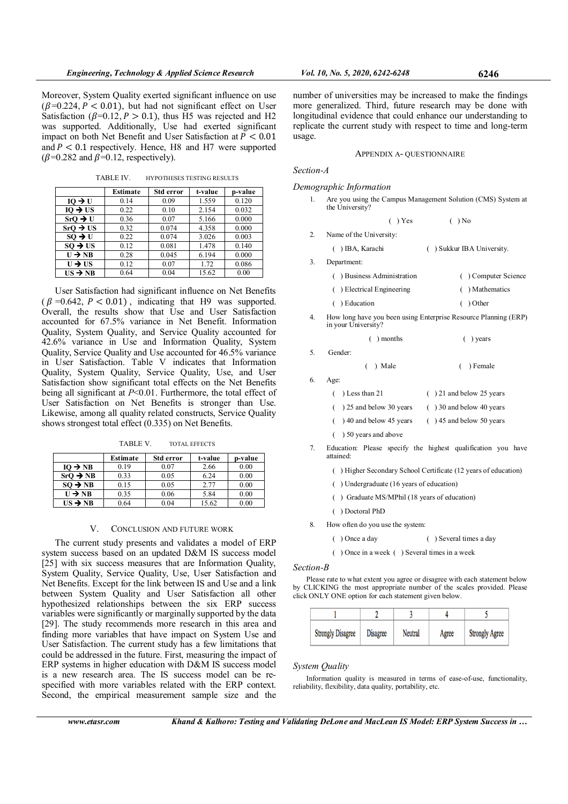Moreover, System Quality exerted significant influence on use  $(\beta=0.224, P < 0.01)$ , but had not significant effect on User Satisfaction ( $\beta$ =0.12, P > 0.1), thus H5 was rejected and H2 was supported. Additionally, Use had exerted significant impact on both Net Benefit and User Satisfaction at  $P < 0.01$ and  $P < 0.1$  respectively. Hence, H8 and H7 were supported  $(\beta=0.282 \text{ and } \beta=0.12, \text{ respectively}).$ 

TABLE IV. HYPOTHESES TESTING RESULTS

|                      | Estimate | Std error | t-value | p-value |
|----------------------|----------|-----------|---------|---------|
| $IO \rightarrow U$   | 0.14     | 0.09      | 1.559   | 0.120   |
| $IO \rightarrow US$  | 0.22     | 0.10      | 2.154   | 0.032   |
| $SrO \rightarrow U$  | 0.36     | 0.07      | 5.166   | 0.000   |
| $SrO \rightarrow US$ | 0.32     | 0.074     | 4.358   | 0.000   |
| $SO \rightarrow U$   | 0.22     | 0.074     | 3.026   | 0.003   |
| $SO \rightarrow US$  | 0.12     | 0.081     | 1.478   | 0.140   |
| $U \rightarrow NB$   | 0.28     | 0.045     | 6.194   | 0.000   |
| $U \rightarrow US$   | 0.12     | 0.07      | 1.72    | 0.086   |
| $US \rightarrow NB$  | 0.64     | 0.04      | 15.62   | 0.00    |

User Satisfaction had significant influence on Net Benefits  $(\beta = 0.642, P < 0.01)$ , indicating that H9 was supported. Overall, the results show that Use and User Satisfaction accounted for 67.5% variance in Net Benefit. Information Quality, System Quality, and Service Quality accounted for 42.6% variance in Use and Information Quality, System Quality, Service Quality and Use accounted for 46.5% variance in User Satisfaction. Table V indicates that Information Quality, System Quality, Service Quality, Use, and User Satisfaction show significant total effects on the Net Benefits being all significant at P<0.01. Furthermore, the total effect of User Satisfaction on Net Benefits is stronger than Use. Likewise, among all quality related constructs, Service Quality shows strongest total effect (0.335) on Net Benefits.

TABLE V. TOTAL EFFECTS

|                      | Estimate | Std error | t-value | p-value |
|----------------------|----------|-----------|---------|---------|
| $IO \rightarrow NB$  | 0.19     | 0.07      | 2.66    | 0.00    |
| $SrO \rightarrow NB$ | 0.33     | 0.05      | 6.24    | 0.00    |
| $SO \rightarrow NB$  | 0.15     | 0.05      | 2.77    | 0.00    |
| $U \rightarrow NB$   | 0.35     | 0.06      | 5.84    | 0.00    |
| $US \rightarrow NB$  | 0.64     | 0.04      | 15.62   | 0.00    |

## V. CONCLUSION AND FUTURE WORK

The current study presents and validates a model of ERP system success based on an updated D&M IS success model [25] with six success measures that are Information Quality, System Quality, Service Quality, Use, User Satisfaction and Net Benefits. Except for the link between IS and Use and a link between System Quality and User Satisfaction all other hypothesized relationships between the six ERP success variables were significantly or marginally supported by the data [29]. The study recommends more research in this area and finding more variables that have impact on System Use and User Satisfaction. The current study has a few limitations that could be addressed in the future. First, measuring the impact of ERP systems in higher education with D&M IS success model is a new research area. The IS success model can be respecified with more variables related with the ERP context. Second, the empirical measurement sample size and the

number of universities may be increased to make the findings more generalized. Third, future research may be done with longitudinal evidence that could enhance our understanding to replicate the current study with respect to time and long-term usage.

## APPENDIX A- QUESTIONNAIRE

Section-A

Demographic Information

1. Are you using the Campus Management Solution (CMS) System at the University?

$$
(\ )\, \text{Yes} \qquad \qquad (\ )\, \text{No}
$$

2. Name of the University:

( ) IBA, Karachi ( ) Sukkur IBA University.

3. Department:

- ( ) Business Administration ( ) Computer Science
- ( ) Electrical Engineering ( ) Mathematics
- ( ) Education ( ) Other
- 4. How long have you been using Enterprise Resource Planning (ERP) in your University?

( ) months ( ) years

5. Gender:

( ) Male ( ) Female

6. Age:

| $( )$ Less than 21            | $( ) 21$ and below 25 years |
|-------------------------------|-----------------------------|
| $($ $)$ 25 and below 30 years | $( ) 30$ and below 40 years |
| $($ $)$ 40 and below 45 years | $($ ) 45 and below 50 years |
| ( ) 50 years and above        |                             |

7. Education: Please specify the highest qualification you have attained:

( ) Higher Secondary School Certificate (12 years of education)

- ( ) Undergraduate (16 years of education)
- ( ) Graduate MS/MPhil (18 years of education)
- ( ) Doctoral PhD
- 8. How often do you use the system:
	- ( ) Once a day ( ) Several times a day

( ) Once in a week ( ) Several times in a week

#### Section-B

Please rate to what extent you agree or disagree with each statement below by CLICKING the most appropriate number of the scales provided. Please click ONLY ONE option for each statement given below.

| <b>Strongly Disagree</b> | <b>Disagree</b> | Neutral | Agree | <b>Strongly Agree</b> |
|--------------------------|-----------------|---------|-------|-----------------------|

#### System Quality

Information quality is measured in terms of ease-of-use, functionality, reliability, flexibility, data quality, portability, etc.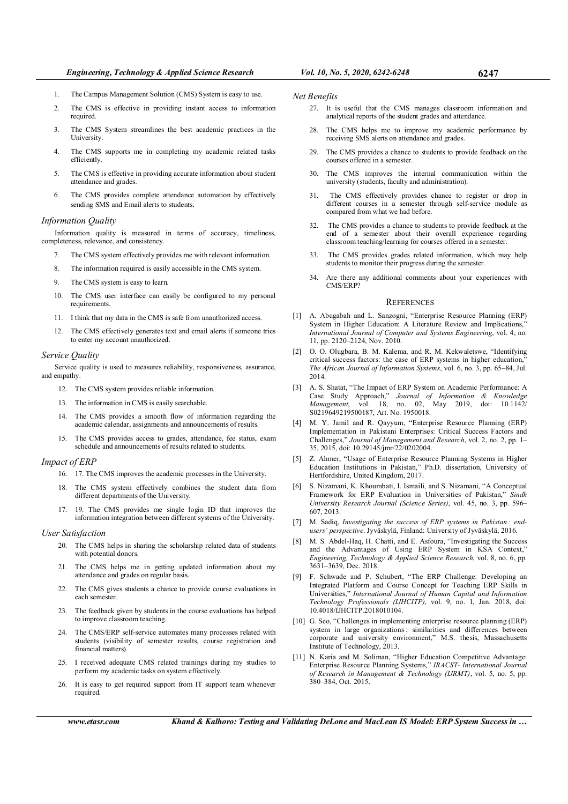- 2. The CMS is effective in providing instant access to information required.
- 3. The CMS System streamlines the best academic practices in the University.
- 4. The CMS supports me in completing my academic related tasks efficiently.
- 5. The CMS is effective in providing accurate information about student attendance and grades.
- 6. The CMS provides complete attendance automation by effectively sending SMS and Email alerts to students.

#### Information Quality

Information quality is measured in terms of accuracy, timeliness, completeness, relevance, and consistency.

- 7. The CMS system effectively provides me with relevant information.
- 8. The information required is easily accessible in the CMS system.
- 9. The CMS system is easy to learn.
- 10. The CMS user interface can easily be configured to my personal requirements.
- 11. I think that my data in the CMS is safe from unauthorized access.
- 12. The CMS effectively generates text and email alerts if someone tries to enter my account unauthorized.

#### Service Quality

Service quality is used to measures reliability, responsiveness, assurance, and empathy.

- 12. The CMS system provides reliable information.
- 13. The information in CMS is easily searchable.
- 14. The CMS provides a smooth flow of information regarding the academic calendar, assignments and announcements of results.
- 15. The CMS provides access to grades, attendance, fee status, exam schedule and announcements of results related to students.

## Impact of ERP

- 16. 17. The CMS improves the academic processes in the University.
- 18. The CMS system effectively combines the student data from different departments of the University.
- 17. 19. The CMS provides me single login ID that improves the information integration between different systems of the University.

#### User Satisfaction

- 20. The CMS helps in sharing the scholarship related data of students with potential donors.
- 21. The CMS helps me in getting updated information about my attendance and grades on regular basis.
- 22. The CMS gives students a chance to provide course evaluations in each semester.
- 23. The feedback given by students in the course evaluations has helped to improve classroom teaching.
- 24. The CMS/ERP self-service automates many processes related with students (visibility of semester results, course registration and financial matters).
- 25. I received adequate CMS related trainings during my studies to perform my academic tasks on system effectively.
- 26. It is easy to get required support from IT support team whenever required.

#### Net Benefits

- 27. It is useful that the CMS manages classroom information and analytical reports of the student grades and attendance.
- 28. The CMS helps me to improve my academic performance by receiving SMS alerts on attendance and grades.
- 29. The CMS provides a chance to students to provide feedback on the courses offered in a semester.
- 30. The CMS improves the internal communication within the university (students, faculty and administration).
- 31. The CMS effectively provides chance to register or drop in different courses in a semester through self-service module as compared from what we had before.
- 32. The CMS provides a chance to students to provide feedback at the end of a semester about their overall experience regarding classroom teaching/learning for courses offered in a semester.
- 33. The CMS provides grades related information, which may help students to monitor their progress during the semester.
- 34. Are there any additional comments about your experiences with CMS/ERP?

#### **REFERENCES**

- [1] A. Abugabah and L. Sanzogni, "Enterprise Resource Planning (ERP) System in Higher Education: A Literature Review and Implications,<sup>5</sup> International Journal of Computer and Systems Engineering, vol. 4, no. 11, pp. 2120–2124, Nov. 2010.
- [2] O. O. Olugbara, B. M. Kalema, and R. M. Kekwaletswe, "Identifying critical success factors: the case of ERP systems in higher education, The African Journal of Information Systems, vol. 6, no. 3, pp. 65–84, Jul. 2014.
- [3] A. S. Shatat, "The Impact of ERP System on Academic Performance: A Case Study Approach," Journal of Information & Knowledge Management, vol. 18, no. 02, May 2019, doi: 10.1142/ S0219649219500187, Art. No. 1950018.
- M. Y. Jamil and R. Qayyum, "Enterprise Resource Planning (ERP) Implementation in Pakistani Enterprises: Critical Success Factors and Challenges," Journal of Management and Research, vol. 2, no. 2, pp. 1– 35, 2015, doi: 10.29145/jmr/22/0202004.
- [5] Z. Ahmer, "Usage of Enterprise Resource Planning Systems in Higher Education Institutions in Pakistan," Ph.D. dissertation, University of Hertfordshire, United Kingdom, 2017.
- [6] S. Nizamani, K. Khoumbati, I. Ismaili, and S. Nizamani, "A Conceptual Framework for ERP Evaluation in Universities of Pakistan," Sindh University Research Journal (Science Series), vol. 45, no. 3, pp. 596– 607, 2013.
- [7] M. Sadiq, Investigating the success of ERP systems in Pakistan : endusers' perspective. Jyväskylä, Finland: University of Jyväskylä, 2016.
- [8] M. S. Abdel-Haq, H. Chatti, and E. Asfoura, "Investigating the Success and the Advantages of Using ERP System in KSA Context," Engineering, Technology & Applied Science Research, vol. 8, no. 6, pp. 3631–3639, Dec. 2018.
- [9] F. Schwade and P. Schubert, "The ERP Challenge: Developing an Integrated Platform and Course Concept for Teaching ERP Skills in Universities," International Journal of Human Capital and Information Technology Professionals (IJHCITP), vol. 9, no. 1, Jan. 2018, doi: 10.4018/IJHCITP.2018010104.
- [10] G. Seo, "Challenges in implementing enterprise resource planning (ERP) system in large organizations : similarities and differences between corporate and university environment," M.S. thesis, Massachusetts Institute of Technology, 2013.
- [11] N. Karia and M. Soliman, "Higher Education Competitive Advantage: Enterprise Resource Planning Systems," IRACST- International Journal of Research in Management & Technology (IJRMT), vol. 5, no. 5, pp. 380–384, Oct. 2015.